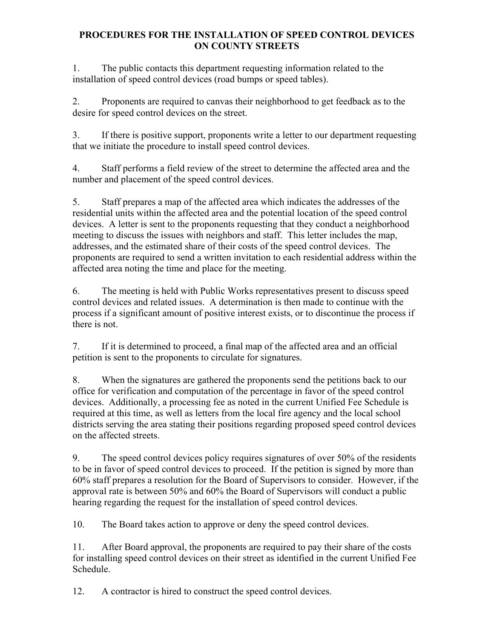## **PROCEDURES FOR THE INSTALLATION OF SPEED CONTROL DEVICES ON COUNTY STREETS**

1. The public contacts this department requesting information related to the installation of speed control devices (road bumps or speed tables).

2. Proponents are required to canvas their neighborhood to get feedback as to the desire for speed control devices on the street.

3. If there is positive support, proponents write a letter to our department requesting that we initiate the procedure to install speed control devices.

4. Staff performs a field review of the street to determine the affected area and the number and placement of the speed control devices.

5. Staff prepares a map of the affected area which indicates the addresses of the residential units within the affected area and the potential location of the speed control devices. A letter is sent to the proponents requesting that they conduct a neighborhood meeting to discuss the issues with neighbors and staff. This letter includes the map, addresses, and the estimated share of their costs of the speed control devices. The proponents are required to send a written invitation to each residential address within the affected area noting the time and place for the meeting.

6. The meeting is held with Public Works representatives present to discuss speed control devices and related issues. A determination is then made to continue with the process if a significant amount of positive interest exists, or to discontinue the process if there is not.

7. If it is determined to proceed, a final map of the affected area and an official petition is sent to the proponents to circulate for signatures.

8. When the signatures are gathered the proponents send the petitions back to our office for verification and computation of the percentage in favor of the speed control devices. Additionally, a processing fee as noted in the current Unified Fee Schedule is required at this time, as well as letters from the local fire agency and the local school districts serving the area stating their positions regarding proposed speed control devices on the affected streets.

9. The speed control devices policy requires signatures of over 50% of the residents to be in favor of speed control devices to proceed. If the petition is signed by more than 60% staff prepares a resolution for the Board of Supervisors to consider. However, if the approval rate is between 50% and 60% the Board of Supervisors will conduct a public hearing regarding the request for the installation of speed control devices.

10. The Board takes action to approve or deny the speed control devices.

11. After Board approval, the proponents are required to pay their share of the costs for installing speed control devices on their street as identified in the current Unified Fee Schedule.

12. A contractor is hired to construct the speed control devices.